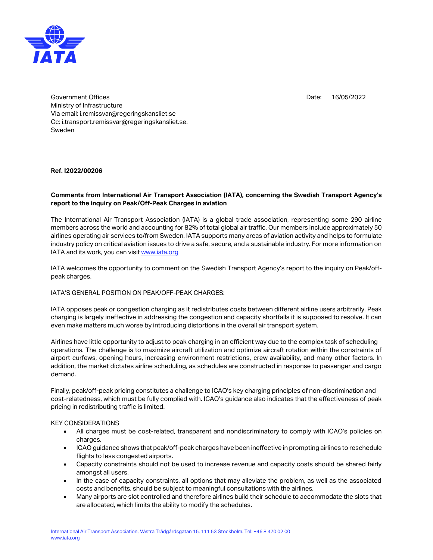

Date: 16/05/2022

Government Offices Ministry of Infrastructure Via email: i.remissvar@regeringskansliet.se Cc: i.transport.remissvar@regeringskansliet.se. Sweden

**Ref. I2022/00206**

## **Comments from International Air Transport Association (IATA), concerning the Swedish Transport Agency's report to the inquiry on Peak/Off-Peak Charges in aviation**

The International Air Transport Association (IATA) is a global trade association, representing some 290 airline members across the world and accounting for 82% of total global air traffic. Our members include approximately 50 airlines operating air services to/from Sweden. IATA supports many areas of aviation activity and helps to formulate industry policy on critical aviation issues to drive a safe, secure, and a sustainable industry. For more information on IATA and its work, you can visit [www.iata.org](file:///C:/Users/mattssonc/OneDrive%20-%20International%20Air%20Transport%20Association/Documents/Klimatdeklaration/www.iata.org)

IATA welcomes the opportunity to comment on the Swedish Transport Agency's report to the inquiry on Peak/offpeak charges.

## IATA'S GENERAL POSITION ON PEAK/OFF-PEAK CHARGES:

IATA opposes peak or congestion charging as it redistributes costs between different airline users arbitrarily. Peak charging is largely ineffective in addressing the congestion and capacity shortfalls it is supposed to resolve. It can even make matters much worse by introducing distortions in the overall air transport system.

Airlines have little opportunity to adjust to peak charging in an efficient way due to the complex task of scheduling operations. The challenge is to maximize aircraft utilization and optimize aircraft rotation within the constraints of airport curfews, opening hours, increasing environment restrictions, crew availability, and many other factors. In addition, the market dictates airline scheduling, as schedules are constructed in response to passenger and cargo demand.

Finally, peak/off-peak pricing constitutes a challenge to ICAO's key charging principles of non-discrimination and cost-relatedness, which must be fully complied with. ICAO's guidance also indicates that the effectiveness of peak pricing in redistributing traffic is limited.

## KEY CONSIDERATIONS

- All charges must be cost-related, transparent and nondiscriminatory to comply with ICAO's policies on charges.
- ICAO guidance shows that peak/off-peak charges have been ineffective in prompting airlines to reschedule flights to less congested airports.
- Capacity constraints should not be used to increase revenue and capacity costs should be shared fairly amongst all users.
- In the case of capacity constraints, all options that may alleviate the problem, as well as the associated costs and benefits, should be subject to meaningful consultations with the airlines.
- Many airports are slot controlled and therefore airlines build their schedule to accommodate the slots that are allocated, which limits the ability to modify the schedules.